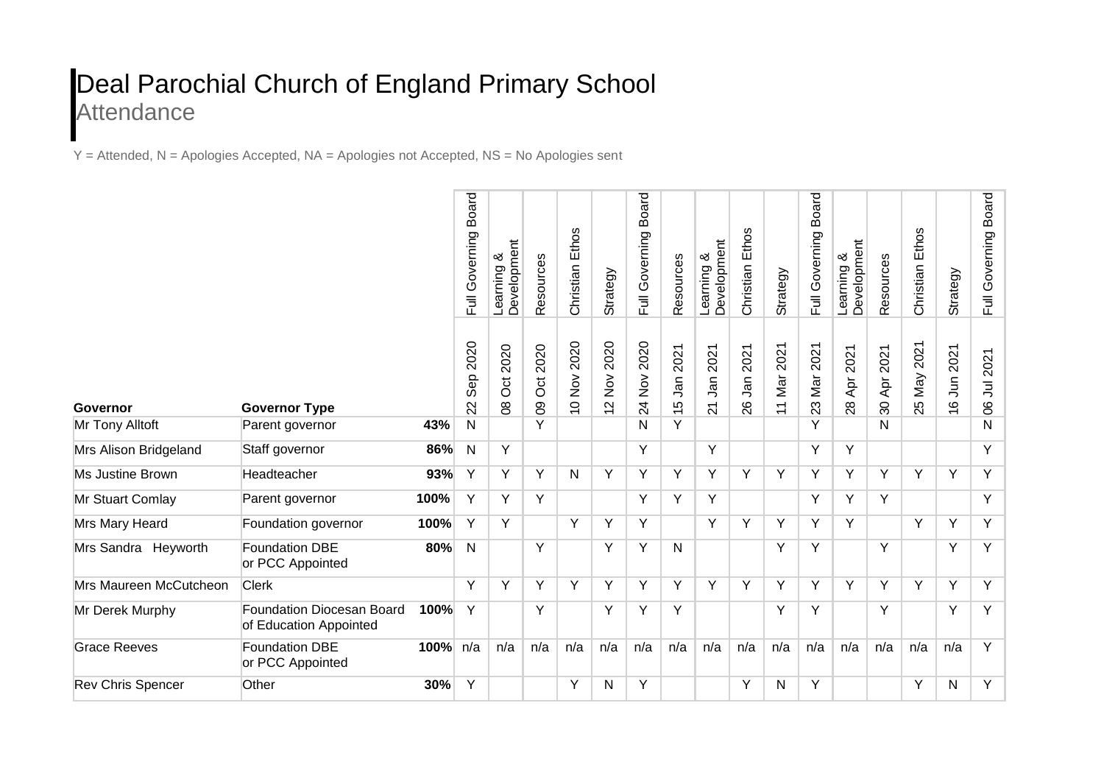## Deal Parochial Church of England Primary School **Attendance**

Y = Attended, N = Apologies Accepted, NA = Apologies not Accepted, NS = No Apologies sent

|                          |                                                            |          | <b>Board</b><br>Full Governing | Learning &<br>Development | Resources                      | Christian Ethos                     | Strategy                                                                  | <b>Board</b><br>Full Governing                           | Resources                    | Development<br>య<br>Learning   | Ethos<br>Christian   | Strategy                      | <b>Board</b><br>Full Governing | Development<br>య<br>Learning | Resources             | Ethos<br>Christian | Strategy                                                            | <b>Board</b><br>Governing<br>$\overline{E}$ |
|--------------------------|------------------------------------------------------------|----------|--------------------------------|---------------------------|--------------------------------|-------------------------------------|---------------------------------------------------------------------------|----------------------------------------------------------|------------------------------|--------------------------------|----------------------|-------------------------------|--------------------------------|------------------------------|-----------------------|--------------------|---------------------------------------------------------------------|---------------------------------------------|
| Governor                 | <b>Governor Type</b>                                       |          | 2020<br>Sep<br>22              | 2020<br>Oct<br>$\infty$   | 2020<br><b>Oct</b><br>$\infty$ | 2020<br>$\sum_{i=1}^{n}$<br>$\circ$ | 2020<br>$\stackrel{\textstyle{>}}{\textstyle\sum}$<br>$\boldsymbol{\sim}$ | 2020<br>$\stackrel{\textstyle{>}}{\textstyle\sum}$<br>24 | 2021<br>Jan<br>$\frac{5}{1}$ | 2021<br>Jan<br>$\overline{21}$ | 2021<br>$J$ an<br>26 | 2021<br>Nar<br>$\overline{1}$ | 2021<br>Nar<br>23              | 2021<br>Apr.<br>28           | 2021<br>Apr<br>$30\,$ | 2021<br>Nay<br>25  | 2021<br>$\overline{5}$<br>$\pmb{\circ}$<br>$\overline{\phantom{0}}$ | 2021<br>$\Xi$<br>$\infty$                   |
| Mr Tony Alltoft          | Parent governor                                            | 43%      | $\mathsf{N}$                   |                           | Y                              |                                     |                                                                           | N                                                        | Y                            |                                |                      |                               | Υ                              |                              | N                     |                    |                                                                     | N                                           |
| Mrs Alison Bridgeland    | Staff governor                                             | 86%      | N                              | Y                         |                                |                                     |                                                                           | Y                                                        |                              | Y                              |                      |                               | Y                              | Y                            |                       |                    |                                                                     | Y                                           |
| Ms Justine Brown         | Headteacher                                                | 93%      | Y                              | Y                         | Y                              | N                                   | Y                                                                         | Y                                                        | Y                            | Y                              | Y                    | Y                             | Y                              | Y                            | Y                     | Y                  | Y                                                                   | Y                                           |
| Mr Stuart Comlay         | Parent governor                                            | 100%     | Υ                              | Y                         | Y                              |                                     |                                                                           | Y                                                        | Υ                            | Y                              |                      |                               | Y                              | Y                            | Y                     |                    |                                                                     | Y                                           |
| Mrs Mary Heard           | Foundation governor                                        | 100%     | Y                              | Y                         |                                | Y                                   | Y                                                                         | Y                                                        |                              | Y                              | Y                    | Y                             | Υ                              | Y                            |                       | Y                  | Y                                                                   | Y                                           |
| Mrs Sandra Heyworth      | <b>Foundation DBE</b><br>or PCC Appointed                  | 80%      | $\mathsf{N}$                   |                           | Y                              |                                     | Y                                                                         | Y                                                        | N                            |                                |                      | Y                             | Y                              |                              | Y                     |                    | Y                                                                   | Y                                           |
| Mrs Maureen McCutcheon   | <b>Clerk</b>                                               |          | Y                              | Y                         | Y                              | Y                                   | Y                                                                         | Y                                                        | Y                            | Y                              | Y                    | Y                             | Y                              | Y                            | Y                     | Y                  | Y                                                                   | Y                                           |
| Mr Derek Murphy          | <b>Foundation Diocesan Board</b><br>of Education Appointed | 100%     | Y                              |                           | Y                              |                                     | Y                                                                         | Y                                                        | Y                            |                                |                      | Y                             | Y                              |                              | Y                     |                    | Y                                                                   | Y                                           |
| <b>Grace Reeves</b>      | Foundation DBE<br>or PCC Appointed                         | 100% n/a |                                | n/a                       | n/a                            | n/a                                 | n/a                                                                       | n/a                                                      | n/a                          | n/a                            | n/a                  | n/a                           | n/a                            | n/a                          | n/a                   | n/a                | n/a                                                                 | Y                                           |
| <b>Rev Chris Spencer</b> | Other                                                      | 30%      | Y                              |                           |                                | Y                                   | N                                                                         | Y                                                        |                              |                                | Y                    | N                             | Y                              |                              |                       | Y                  | N                                                                   | Y                                           |